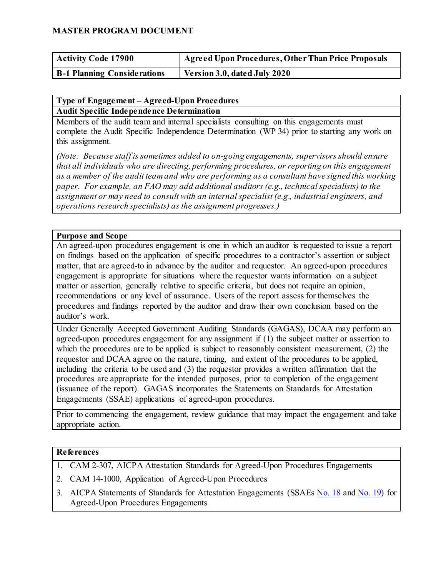### **MASTER PROGRAM DOCUMENT**

| <b>Activity Code 17900</b>         | Agreed Upon Procedures, Other Than Price Proposals |
|------------------------------------|----------------------------------------------------|
| <b>B-1 Planning Considerations</b> | Version 3.0, dated July 2020                       |

#### **Type of Engagement – Agreed-Upon Procedures Audit Specific Independence Determination**

Members of the audit team and internal specialists consulting on this engagements must complete the Audit Specific Independence Determination (WP 34) prior to starting any work on this assignment.

*(Note: Because staff is sometimes added to on-going engagements, supervisors should ensure that all individuals who are directing, performing procedures, or reporting on this engagement as a member of the audit team and who are performing as a consultant have signed this working paper. For example, an FAO may add additional auditors (e.g., technical specialists) to the assignment or may need to consult with an internal specialist (e.g., industrial engineers, and operations research specialists) as the assignment progresses.)*

### **Purpose and Scope**

An agreed-upon procedures engagement is one in which an auditor is requested to issue a report on findings based on the application of specific procedures to a contractor's assertion or subject matter, that are agreed-to in advance by the auditor and requestor. An agreed-upon procedures engagement is appropriate for situations where the requestor wants information on a subject matter or assertion, generally relative to specific criteria, but does not require an opinion, recommendations or any level of assurance. Users of the report assess for themselves the procedures and findings reported by the auditor and draw their own conclusion based on the auditor's work.

Under Generally Accepted Government Auditing Standards (GAGAS), DCAA may perform an agreed-upon procedures engagement for any assignment if (1) the subject matter or assertion to which the procedures are to be applied is subject to reasonably consistent measurement, (2) the requestor and DCAA agree on the nature, timing, and extent of the procedures to be applied, including the criteria to be used and (3) the requestor provides a written affirmation that the procedures are appropriate for the intended purposes, prior to completion of the engagement (issuance of the report). GAGAS incorporates the Statements on Standards for Attestation Engagements (SSAE) applications of agreed-upon procedures.

Prior to commencing the engagement, review guidance that may impact the engagement and take appropriate action.

### **References**

- 1. CAM 2-307, AICPA Attestation Standards for Agreed-Upon Procedures Engagements
- 2. CAM 14-1000, Application of Agreed-Upon Procedures
- 3. AICPA Statements of Standards for Attestation Engagements (SSAEs [No. 18](https://www.aicpa.org/research/standards/auditattest/ssae.html) [a](https://www.aicpa.org/research/standards/auditattest/ssae.html)nd [No. 19\)](https://www.aicpa.org/content/dam/aicpa/research/standards/auditattest/downloadabledocuments/ssae-19.pdf) for Agreed-Upon Procedures Engagements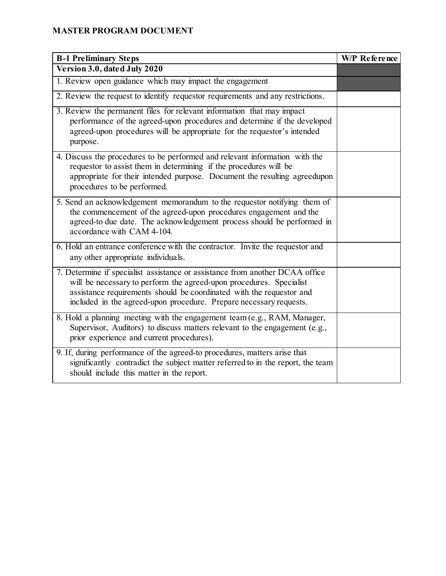# **MASTER PROGRAM DOCUMENT**

| <b>B-1 Preliminary Steps</b>                                                                                                                                                                                                                                                                      | W/P Reference |
|---------------------------------------------------------------------------------------------------------------------------------------------------------------------------------------------------------------------------------------------------------------------------------------------------|---------------|
| Version 3.0, dated July 2020                                                                                                                                                                                                                                                                      |               |
| 1. Review open guidance which may impact the engagement                                                                                                                                                                                                                                           |               |
| 2. Review the request to identify requestor requirements and any restrictions.                                                                                                                                                                                                                    |               |
| 3. Review the permanent files for relevant information that may impact<br>performance of the agreed-upon procedures and determine if the developed<br>agreed-upon procedures will be appropriate for the requestor's intended<br>purpose.                                                         |               |
| 4. Discuss the procedures to be performed and relevant information with the<br>requestor to assist them in determining if the procedures will be<br>appropriate for their intended purpose. Document the resulting agreedupon<br>procedures to be performed.                                      |               |
| 5. Send an acknowledgement memorandum to the requestor notifying them of<br>the commencement of the agreed-upon procedures engagement and the<br>agreed-to due date. The acknowledgement process should be performed in<br>accordance with CAM 4-104.                                             |               |
| 6. Hold an entrance conference with the contractor. Invite the requestor and<br>any other appropriate individuals.                                                                                                                                                                                |               |
| 7. Determine if specialist assistance or assistance from another DCAA office<br>will be necessary to perform the agreed-upon procedures. Specialist<br>assistance requirements should be coordinated with the requestor and<br>included in the agreed-upon procedure. Prepare necessary requests. |               |
| 8. Hold a planning meeting with the engagement team (e.g., RAM, Manager,<br>Supervisor, Auditors) to discuss matters relevant to the engagement (e.g.,<br>prior experience and current procedures).                                                                                               |               |
| 9. If, during performance of the agreed-to procedures, matters arise that<br>significantly contradict the subject matter referred to in the report, the team<br>should include this matter in the report.                                                                                         |               |